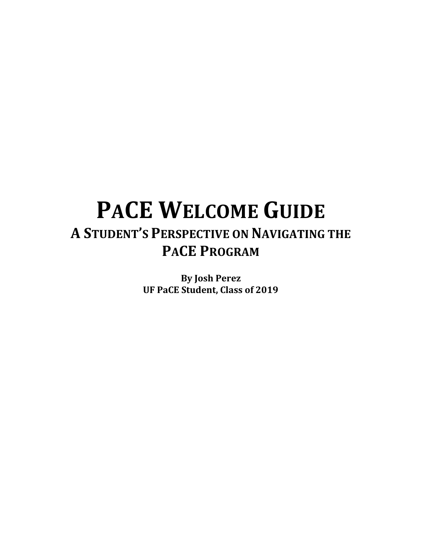# **PACE WELCOME GUIDE A STUDENT'S PERSPECTIVE ON NAVIGATING THE PACE PROGRAM**

**By Josh Perez UF PaCE Student, Class of 2019**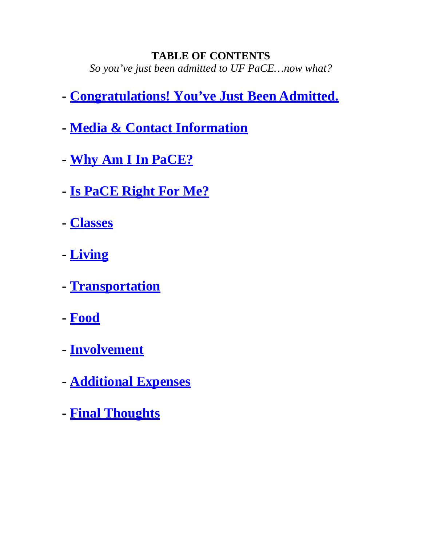### <span id="page-1-0"></span>**TABLE OF CONTENTS** *So you've just been admitted to UF PaCE…now what?*

- **- [Congratulations! You've Just Been](#page-1-0) Admitted.**
- **- [Media & Contact](#page-3-0) Information**
- **- [Why Am I In](#page-3-0) PaCE?**
- **- [Is PaCE Right For](#page-4-0) Me?**
- **- [Classes](#page-7-0)**
- **- [Living](#page-8-0)**
- **- [Transportation](#page-9-0)**
- **- [Food](#page-10-0)**
- **- [Involvement](#page-10-1)**
- **- [Additional](#page-12-0) Expenses**
- **- Final [Thoughts](#page-13-0)**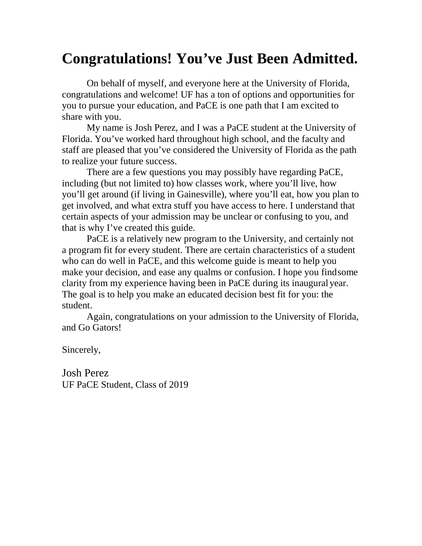# **Congratulations! You've Just Been Admitted.**

On behalf of myself, and everyone here at the University of Florida, congratulations and welcome! UF has a ton of options and opportunities for you to pursue your education, and PaCE is one path that I am excited to share with you.

My name is Josh Perez, and I was a PaCE student at the University of Florida. You've worked hard throughout high school, and the faculty and staff are pleased that you've considered the University of Florida as the path to realize your future success.

There are a few questions you may possibly have regarding PaCE, including (but not limited to) how classes work, where you'll live, how you'll get around (if living in Gainesville), where you'll eat, how you plan to get involved, and what extra stuff you have access to here. I understand that certain aspects of your admission may be unclear or confusing to you, and that is why I've created this guide.

PaCE is a relatively new program to the University, and certainly not a program fit for every student. There are certain characteristics of a student who can do well in PaCE, and this welcome guide is meant to help you make your decision, and ease any qualms or confusion. I hope you findsome clarity from my experience having been in PaCE during its inaugural year. The goal is to help you make an educated decision best fit for you: the student.

Again, congratulations on your admission to the University of Florida, and Go Gators!

Sincerely,

Josh Perez UF PaCE Student, Class of 2019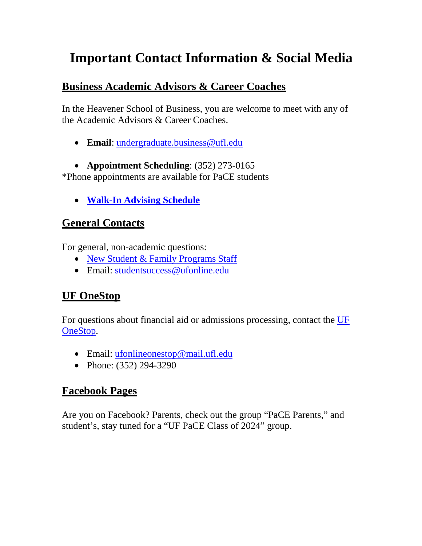# <span id="page-3-0"></span>**Important Contact Information & Social Media**

### **Business Academic Advisors & Career Coaches**

In the Heavener School of Business, you are welcome to meet with any of the Academic Advisors & Career Coaches.

• **Email**: [undergraduate.business@ufl.edu](mailto:undergraduate.business@ufl.edu)

• **Appointment Scheduling**: (352) 273-0165 \*Phone appointments are available for PaCE students

• **[Walk-In Advising](http://warrington.ufl.edu/undergraduate/myheavener/advising.asp) Schedule**

### **General Contacts**

For general, non-academic questions:

- [New Student & Family Programs](https://orientation.dso.ufl.edu/about/staff/) Staff
- Email: [studentsuccess@ufonline.edu](mailto:studentsuccess@ufonline.edu)

## **UF OneStop**

For questions about financial aid or admissions processing, contact the [UF](http://handbook.ufonline.ufl.edu/onestop/) [OneStop.](http://handbook.ufonline.ufl.edu/onestop/)

- Email: [ufonlineonestop@mail.ufl.edu](mailto:ufonlineonestop@mail.ufl.edu)
- Phone: (352) 294-3290

## **Facebook Pages**

Are you on Facebook? Parents, check out the group "PaCE Parents," and student's, stay tuned for a "UF PaCE Class of 2024" group.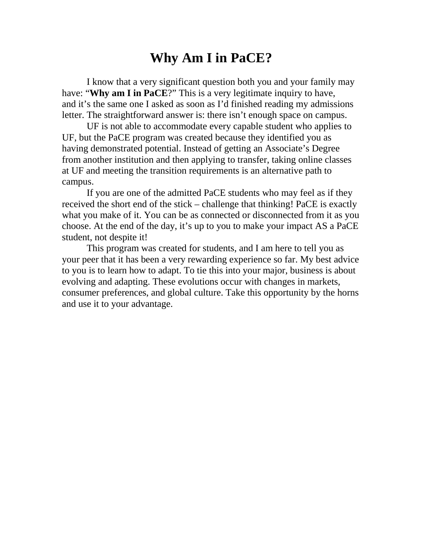## **Why Am I in PaCE?**

<span id="page-4-0"></span>I know that a very significant question both you and your family may have: "**Why am I in PaCE**?" This is a very legitimate inquiry to have, and it's the same one I asked as soon as I'd finished reading my admissions letter. The straightforward answer is: there isn't enough space on campus.

UF is not able to accommodate every capable student who applies to UF, but the PaCE program was created because they identified you as having demonstrated potential. Instead of getting an Associate's Degree from another institution and then applying to transfer, taking online classes at UF and meeting the transition requirements is an alternative path to campus.

If you are one of the admitted PaCE students who may feel as if they received the short end of the stick – challenge that thinking! PaCE is exactly what you make of it. You can be as connected or disconnected from it as you choose. At the end of the day, it's up to you to make your impact AS a PaCE student, not despite it!

This program was created for students, and I am here to tell you as your peer that it has been a very rewarding experience so far. My best advice to you is to learn how to adapt. To tie this into your major, business is about evolving and adapting. These evolutions occur with changes in markets, consumer preferences, and global culture. Take this opportunity by the horns and use it to your advantage.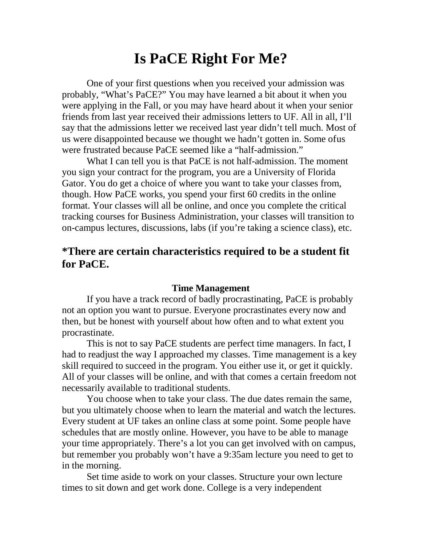## **Is PaCE Right For Me?**

One of your first questions when you received your admission was probably, "What's PaCE?" You may have learned a bit about it when you were applying in the Fall, or you may have heard about it when your senior friends from last year received their admissions letters to UF. All in all, I'll say that the admissions letter we received last year didn't tell much. Most of us were disappointed because we thought we hadn't gotten in. Some ofus were frustrated because PaCE seemed like a "half-admission."

What I can tell you is that PaCE is not half-admission. The moment you sign your contract for the program, you are a University of Florida Gator. You do get a choice of where you want to take your classes from, though. How PaCE works, you spend your first 60 credits in the online format. Your classes will all be online, and once you complete the critical tracking courses for Business Administration, your classes will transition to on-campus lectures, discussions, labs (if you're taking a science class), etc.

### **\*There are certain characteristics required to be a student fit for PaCE.**

#### **Time Management**

If you have a track record of badly procrastinating, PaCE is probably not an option you want to pursue. Everyone procrastinates every now and then, but be honest with yourself about how often and to what extent you procrastinate.

This is not to say PaCE students are perfect time managers. In fact, I had to readjust the way I approached my classes. Time management is a key skill required to succeed in the program. You either use it, or get it quickly. All of your classes will be online, and with that comes a certain freedom not necessarily available to traditional students.

You choose when to take your class. The due dates remain the same, but you ultimately choose when to learn the material and watch the lectures. Every student at UF takes an online class at some point. Some people have schedules that are mostly online. However, you have to be able to manage your time appropriately. There's a lot you can get involved with on campus, but remember you probably won't have a 9:35am lecture you need to get to in the morning.

Set time aside to work on your classes. Structure your own lecture times to sit down and get work done. College is a very independent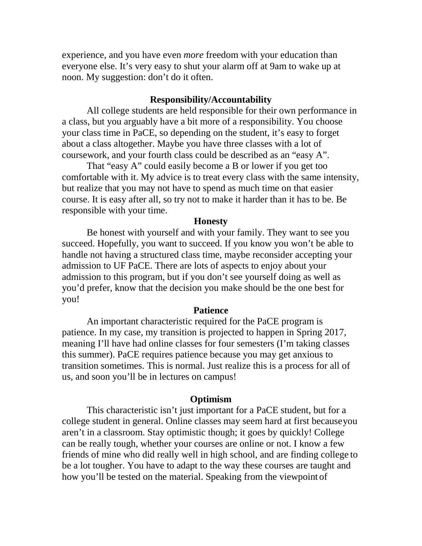experience, and you have even *more* freedom with your education than everyone else. It's very easy to shut your alarm off at 9am to wake up at noon. My suggestion: don't do it often.

#### **Responsibility/Accountability**

All college students are held responsible for their own performance in a class, but you arguably have a bit more of a responsibility. You choose your class time in PaCE, so depending on the student, it's easy to forget about a class altogether. Maybe you have three classes with a lot of coursework, and your fourth class could be described as an "easy A".

That "easy A" could easily become a B or lower if you get too comfortable with it. My advice is to treat every class with the same intensity, but realize that you may not have to spend as much time on that easier course. It is easy after all, so try not to make it harder than it has to be. Be responsible with your time.

#### **Honesty**

Be honest with yourself and with your family. They want to see you succeed. Hopefully, you want to succeed. If you know you won't be able to handle not having a structured class time, maybe reconsider accepting your admission to UF PaCE. There are lots of aspects to enjoy about your admission to this program, but if you don't see yourself doing as well as you'd prefer, know that the decision you make should be the one best for you!

#### **Patience**

An important characteristic required for the PaCE program is patience. In my case, my transition is projected to happen in Spring 2017, meaning I'll have had online classes for four semesters (I'm taking classes this summer). PaCE requires patience because you may get anxious to transition sometimes. This is normal. Just realize this is a process for all of us, and soon you'll be in lectures on campus!

#### **Optimism**

This characteristic isn't just important for a PaCE student, but for a college student in general. Online classes may seem hard at first becauseyou aren't in a classroom. Stay optimistic though; it goes by quickly! College can be really tough, whether your courses are online or not. I know a few friends of mine who did really well in high school, and are finding college to be a lot tougher. You have to adapt to the way these courses are taught and how you'll be tested on the material. Speaking from the viewpoint of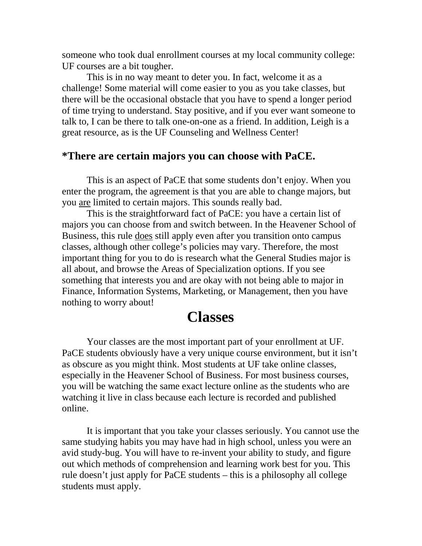someone who took dual enrollment courses at my local community college: UF courses are a bit tougher.

This is in no way meant to deter you. In fact, welcome it as a challenge! Some material will come easier to you as you take classes, but there will be the occasional obstacle that you have to spend a longer period of time trying to understand. Stay positive, and if you ever want someone to talk to, I can be there to talk one-on-one as a friend. In addition, Leigh is a great resource, as is the UF Counseling and Wellness Center!

### **\*There are certain majors you can choose with PaCE.**

This is an aspect of PaCE that some students don't enjoy. When you enter the program, the agreement is that you are able to change majors, but you are limited to certain majors. This sounds really bad.

This is the straightforward fact of PaCE: you have a certain list of majors you can choose from and switch between. In the Heavener School of Business, this rule does still apply even after you transition onto campus classes, although other college's policies may vary. Therefore, the most important thing for you to do is research what the General Studies major is all about, and browse the Areas of Specialization options. If you see something that interests you and are okay with not being able to major in Finance, Information Systems, Marketing, or Management, then you have nothing to worry about!

## **Classes**

<span id="page-7-0"></span>Your classes are the most important part of your enrollment at UF. PaCE students obviously have a very unique course environment, but it isn't as obscure as you might think. Most students at UF take online classes, especially in the Heavener School of Business. For most business courses, you will be watching the same exact lecture online as the students who are watching it live in class because each lecture is recorded and published online.

It is important that you take your classes seriously. You cannot use the same studying habits you may have had in high school, unless you were an avid study-bug. You will have to re-invent your ability to study, and figure out which methods of comprehension and learning work best for you. This rule doesn't just apply for PaCE students – this is a philosophy all college students must apply.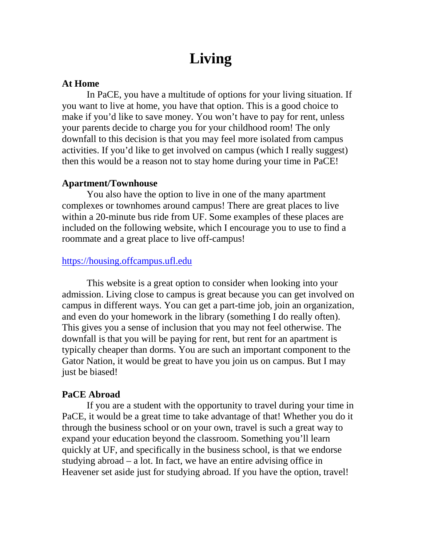# **Living**

#### <span id="page-8-0"></span>**At Home**

In PaCE, you have a multitude of options for your living situation. If you want to live at home, you have that option. This is a good choice to make if you'd like to save money. You won't have to pay for rent, unless your parents decide to charge you for your childhood room! The only downfall to this decision is that you may feel more isolated from campus activities. If you'd like to get involved on campus (which I really suggest) then this would be a reason not to stay home during your time in PaCE!

#### **Apartment/Townhouse**

You also have the option to live in one of the many apartment complexes or townhomes around campus! There are great places to live within a 20-minute bus ride from UF. Some examples of these places are included on the following website, which I encourage you to use to find a roommate and a great place to live off-campus!

### [https://housing.offcampus.ufl.edu](https://housing.offcampus.ufl.edu/)

This website is a great option to consider when looking into your admission. Living close to campus is great because you can get involved on campus in different ways. You can get a part-time job, join an organization, and even do your homework in the library (something I do really often). This gives you a sense of inclusion that you may not feel otherwise. The downfall is that you will be paying for rent, but rent for an apartment is typically cheaper than dorms. You are such an important component to the Gator Nation, it would be great to have you join us on campus. But I may just be biased!

#### **PaCE Abroad**

If you are a student with the opportunity to travel during your time in PaCE, it would be a great time to take advantage of that! Whether you do it through the business school or on your own, travel is such a great way to expand your education beyond the classroom. Something you'll learn quickly at UF, and specifically in the business school, is that we endorse studying abroad – a lot. In fact, we have an entire advising office in Heavener set aside just for studying abroad. If you have the option, travel!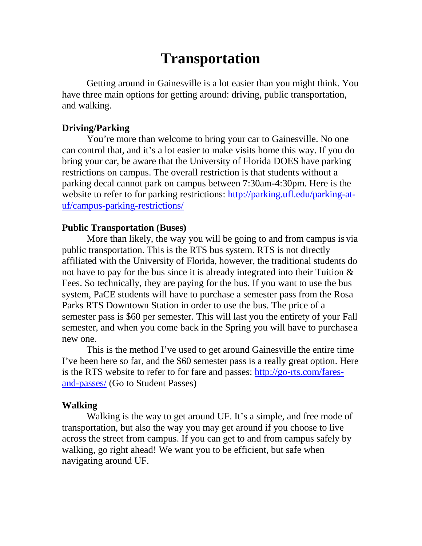# **Transportation**

<span id="page-9-0"></span>Getting around in Gainesville is a lot easier than you might think. You have three main options for getting around: driving, public transportation, and walking.

### **Driving/Parking**

You're more than welcome to bring your car to Gainesville. No one can control that, and it's a lot easier to make visits home this way. If you do bring your car, be aware that the University of Florida DOES have parking restrictions on campus. The overall restriction is that students without a parking decal cannot park on campus between 7:30am-4:30pm. Here is the website to refer to for parking restrictions: [http://parking.ufl.edu/parking-at](http://parking.ufl.edu/parking-at-uf/campus-parking-restrictions/)[uf/campus-parking-restrictions/](http://parking.ufl.edu/parking-at-uf/campus-parking-restrictions/)

#### **Public Transportation (Buses)**

More than likely, the way you will be going to and from campus is via public transportation. This is the RTS bus system. RTS is not directly affiliated with the University of Florida, however, the traditional students do not have to pay for the bus since it is already integrated into their Tuition & Fees. So technically, they are paying for the bus. If you want to use the bus system, PaCE students will have to purchase a semester pass from the Rosa Parks RTS Downtown Station in order to use the bus. The price of a semester pass is \$60 per semester. This will last you the entirety of your Fall semester, and when you come back in the Spring you will have to purchasea new one.

This is the method I've used to get around Gainesville the entire time I've been here so far, and the \$60 semester pass is a really great option. Here is the RTS website to refer to for fare and passes: [http://go-rts.com/fares](http://go-rts.com/fares-and-passes/)[and-passes/](http://go-rts.com/fares-and-passes/) (Go to Student Passes)

#### **Walking**

Walking is the way to get around UF. It's a simple, and free mode of transportation, but also the way you may get around if you choose to live across the street from campus. If you can get to and from campus safely by walking, go right ahead! We want you to be efficient, but safe when navigating around UF.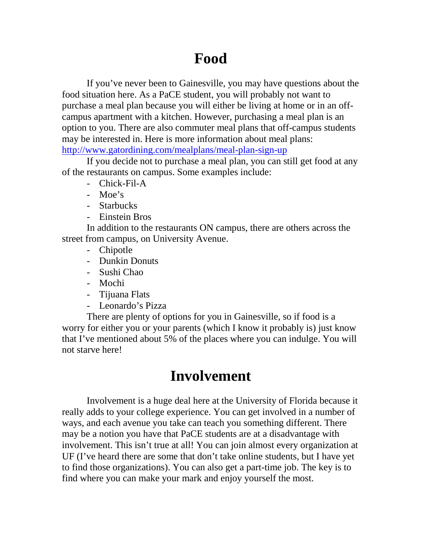# **Food**

<span id="page-10-0"></span>If you've never been to Gainesville, you may have questions about the food situation here. As a PaCE student, you will probably not want to purchase a meal plan because you will either be living at home or in an offcampus apartment with a kitchen. However, purchasing a meal plan is an option to you. There are also commuter meal plans that off-campus students may be interested in. Here is more information about meal plans: <http://www.gatordining.com/mealplans/meal-plan-sign-up>

If you decide not to purchase a meal plan, you can still get food at any of the restaurants on campus. Some examples include:

- Chick-Fil-A
- Moe's
- Starbucks
- Einstein Bros

In addition to the restaurants ON campus, there are others across the street from campus, on University Avenue.

- Chipotle
- Dunkin Donuts
- Sushi Chao
- Mochi
- Tijuana Flats
- Leonardo's Pizza

There are plenty of options for you in Gainesville, so if food is a worry for either you or your parents (which I know it probably is) just know that I've mentioned about 5% of the places where you can indulge. You will not starve here!

# **Involvement**

<span id="page-10-1"></span>Involvement is a huge deal here at the University of Florida because it really adds to your college experience. You can get involved in a number of ways, and each avenue you take can teach you something different. There may be a notion you have that PaCE students are at a disadvantage with involvement. This isn't true at all! You can join almost every organization at UF (I've heard there are some that don't take online students, but I have yet to find those organizations). You can also get a part-time job. The key is to find where you can make your mark and enjoy yourself the most.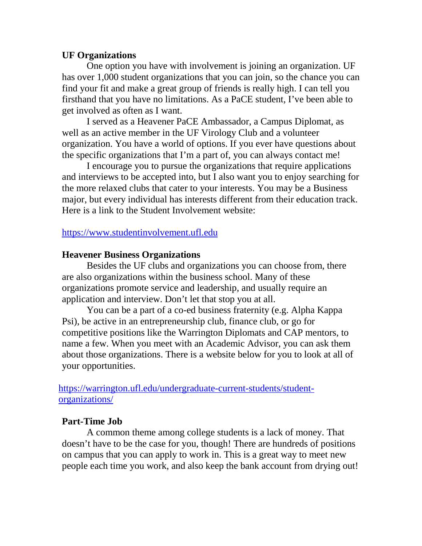### **UF Organizations**

One option you have with involvement is joining an organization. UF has over 1,000 student organizations that you can join, so the chance you can find your fit and make a great group of friends is really high. I can tell you firsthand that you have no limitations. As a PaCE student, I've been able to get involved as often as I want.

I served as a Heavener PaCE Ambassador, a Campus Diplomat, as well as an active member in the UF Virology Club and a volunteer organization. You have a world of options. If you ever have questions about the specific organizations that I'm a part of, you can always contact me!

I encourage you to pursue the organizations that require applications and interviews to be accepted into, but I also want you to enjoy searching for the more relaxed clubs that cater to your interests. You may be a Business major, but every individual has interests different from their education track. Here is a link to the Student Involvement website:

### [https://www.studentinvolvement.ufl.edu](https://www.studentinvolvement.ufl.edu/)

#### **Heavener Business Organizations**

Besides the UF clubs and organizations you can choose from, there are also organizations within the business school. Many of these organizations promote service and leadership, and usually require an application and interview. Don't let that stop you at all.

You can be a part of a co-ed business fraternity (e.g. Alpha Kappa Psi), be active in an entrepreneurship club, finance club, or go for competitive positions like the Warrington Diplomats and CAP mentors, to name a few. When you meet with an Academic Advisor, you can ask them about those organizations. There is a website below for you to look at all of your opportunities.

[https://warrington.ufl.edu/undergraduate-current-students/student](https://warrington.ufl.edu/undergraduate-current-students/student-organizations/)[organizations/](https://warrington.ufl.edu/undergraduate-current-students/student-organizations/)

### **Part-Time Job**

A common theme among college students is a lack of money. That doesn't have to be the case for you, though! There are hundreds of positions on campus that you can apply to work in. This is a great way to meet new people each time you work, and also keep the bank account from drying out!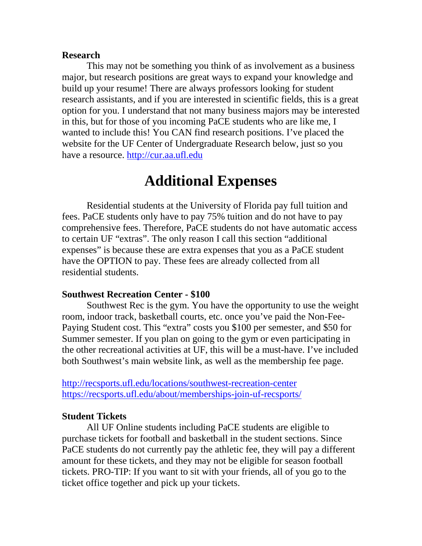#### **Research**

This may not be something you think of as involvement as a business major, but research positions are great ways to expand your knowledge and build up your resume! There are always professors looking for student research assistants, and if you are interested in scientific fields, this is a great option for you. I understand that not many business majors may be interested in this, but for those of you incoming PaCE students who are like me, I wanted to include this! You CAN find research positions. I've placed the website for the UF Center of Undergraduate Research below, just so you have a resource. [http://cur.aa.ufl.edu](http://cur.aa.ufl.edu/)

## **Additional Expenses**

<span id="page-12-0"></span>Residential students at the University of Florida pay full tuition and fees. PaCE students only have to pay 75% tuition and do not have to pay comprehensive fees. Therefore, PaCE students do not have automatic access to certain UF "extras". The only reason I call this section "additional expenses" is because these are extra expenses that you as a PaCE student have the OPTION to pay. These fees are already collected from all residential students.

#### **Southwest Recreation Center - \$100**

Southwest Rec is the gym. You have the opportunity to use the weight room, indoor track, basketball courts, etc. once you've paid the Non-Fee-Paying Student cost. This "extra" costs you \$100 per semester, and \$50 for Summer semester. If you plan on going to the gym or even participating in the other recreational activities at UF, this will be a must-have. I've included both Southwest's main website link, as well as the membership fee page.

<http://recsports.ufl.edu/locations/southwest-recreation-center> <https://recsports.ufl.edu/about/memberships-join-uf-recsports/>

#### **Student Tickets**

All UF Online students including PaCE students are eligible to purchase tickets for football and basketball in the student sections. Since PaCE students do not currently pay the athletic fee, they will pay a different amount for these tickets, and they may not be eligible for season football tickets. PRO-TIP: If you want to sit with your friends, all of you go to the ticket office together and pick up your tickets.